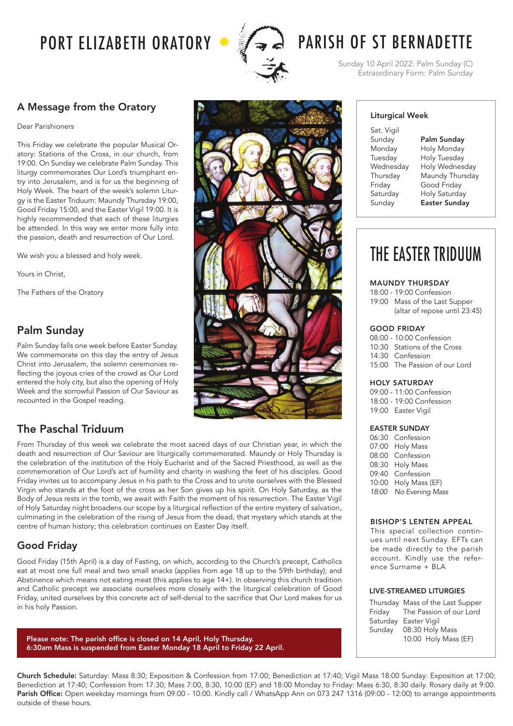

# PORT ELIZABETH ORATORY  $\rightarrow$   $\mathscr{F}_{\rightarrow}$   $\rightarrow$  PARISH OF ST BERNADETTE

Sunday 10 April 2022: Palm Sunday (C) Extraordinary Form: Palm Sunday

# A Message from the Oratory

Dear Parishioners

This Friday we celebrate the popular Musical Oratory: Stations of the Cross, in our church, from 19:00. On Sunday we celebrate Palm Sunday. This liturgy commemorates Our Lord's triumphant entry into Jerusalem, and is for us the beginning of Holy Week. The heart of the week's solemn Liturgy is the Easter Triduum: Maundy Thursday 19:00, Good Friday 15:00, and the Easter Vigil 19:00. It is highly recommended that each of these liturgies be attended. In this way we enter more fully into the passion, death and resurrection of Our Lord.

We wish you a blessed and holy week.

Yours in Christ,

The Fathers of the Oratory

# Palm Sunday

Palm Sunday falls one week before Easter Sunday. We commemorate on this day the entry of Jesus Christ into Jerusalem, the solemn ceremonies reflecting the joyous cries of the crowd as Our Lord entered the holy city, but also the opening of Holy Week and the sorrowful Passion of Our Saviour as recounted in the Gospel reading.

# The Paschal Triduum

From Thursday of this week we celebrate the most sacred days of our Christian year, in which the death and resurrection of Our Saviour are liturgically commemorated. Maundy or Holy Thursday is the celebration of the institution of the Holy Eucharist and of the Sacred Priesthood, as well as the commemoration of Our Lord's act of humility and charity in washing the feet of his disciples. Good Friday invites us to accompany Jesus in his path to the Cross and to unite ourselves with the Blessed Virgin who stands at the foot of the cross as her Son gives up his spirit. On Holy Saturday, as the Body of Jesus rests in the tomb, we await with Faith the moment of his resurrection. The Easter Vigil of Holy Saturday night broadens our scope by a liturgical reflection of the entire mystery of salvation, culminating in the celebration of the rising of Jesus from the dead, that mystery which stands at the centre of human history; this celebration continues on Easter Day itself.

# Good Friday

Good Friday (15th April) is a day of Fasting, on which, according to the Church's precept, Catholics eat at most one full meal and two small snacks (applies from age 18 up to the 59th birthday); and Abstinence which means not eating meat (this applies to age 14+). In observing this church tradition and Catholic precept we associate ourselves more closely with the liturgical celebration of Good Friday, united ourselves by this concrete act of self-denial to the sacrifice that Our Lord makes for us in his holy Passion.

Please note: The parish office is closed on 14 April, Holy Thursday. 6:30am Mass is suspended from Easter Monday 18 April to Friday 22 April.

# Liturgical Week Sat. Vigil Sunday Monday Tuesday Wednesday Thursday Friday **Saturday** Sunday

Palm Sunday Holy Monday Holy Tuesday Holy Wednesday Maundy Thursday Good Friday Holy Saturday Easter Sunday

# THE EASTER TRIDUUM

MAUNDY THURSDAY

18:00 - 19:00 Confession 19:00 Mass of the Last Supper (altar of repose until 23:45)

#### GOOD FRIDAY

08:00 - 10:00 Confession 10:30 Stations of the Cross 14:30 Confession 15:00 The Passion of our Lord

#### HOLY SATURDAY

09:00 - 11:00 Confession 18:00 - 19:00 Confession 19:00 Easter Vigil

#### EASTER SUNDAY

06:30 Confession 07:00 Holy Mass 08:00 Confession 08:30 Holy Mass 09:40 Confession 10:00 Holy Mass (EF) *18:00 No Evening Mass*

#### BISHOP'S LENTEN APPEAL

This special collection continues until next Sunday. EFTs can be made directly to the parish account. Kindly use the reference Surname + BLA

#### LIVE-STREAMED LITURGIES

|        | Thursday Mass of the Last Supper |
|--------|----------------------------------|
|        | Friday The Passion of our Lord   |
|        | Saturday Easter Vigil            |
| Sunday | 08:30 Holy Mass                  |
|        | 10:00 Holy Mass (EF)             |
|        |                                  |

Church Schedule: Saturday: Mass 8:30; Exposition & Confession from 17:00; Benediction at 17:40; Vigil Mass 18:00 Sunday: Exposition at 17:00; Benediction at 17:40; Confession from 17:30; Mass 7:00, 8:30, 10:00 (EF) and 18:00 Monday to Friday: Mass 6:30, 8:30 daily. Rosary daily at 9:00. Parish Office: Open weekday mornings from 09:00 - 10:00. Kindly call / WhatsApp Ann on 073 247 1316 (09:00 - 12:00) to arrange appointments outside of these hours.